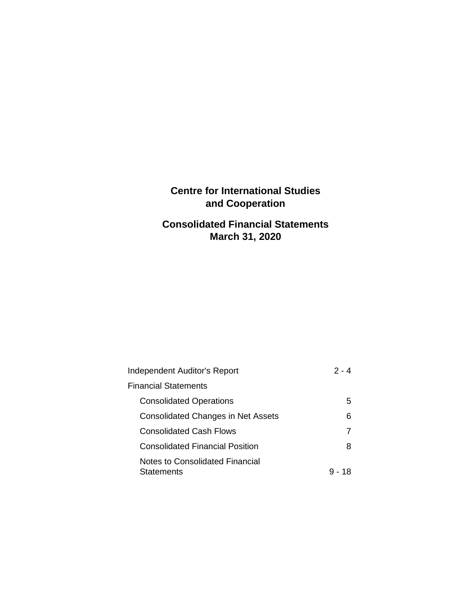## **Centre for International Studies and Cooperation**

## **Consolidated Financial Statements March 31, 2020**

| Independent Auditor's Report                         | 2 - 4  |
|------------------------------------------------------|--------|
| <b>Financial Statements</b>                          |        |
| <b>Consolidated Operations</b>                       | 5      |
| <b>Consolidated Changes in Net Assets</b>            | 6      |
| Consolidated Cash Flows                              |        |
| Consolidated Financial Position                      | 8      |
| Notes to Consolidated Financial<br><b>Statements</b> | 9 - 18 |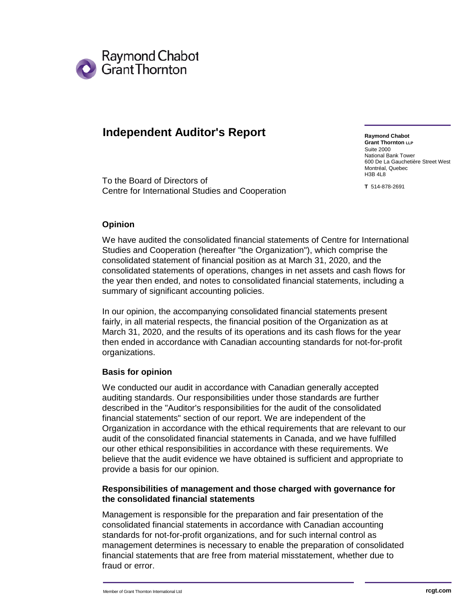

## **Independent Auditor's Report**

To the Board of Directors of Centre for International Studies and Cooperation

**Raymond Chabot Grant Thornton LLP** Suite 2000 National Bank Tower 600 De La Gauchetière Street West Montréal, Quebec H3B 4L8

**T** 514-878-2691

#### **Opinion**

We have audited the consolidated financial statements of Centre for International Studies and Cooperation (hereafter "the Organization"), which comprise the consolidated statement of financial position as at March 31, 2020, and the consolidated statements of operations, changes in net assets and cash flows for the year then ended, and notes to consolidated financial statements, including a summary of significant accounting policies.

In our opinion, the accompanying consolidated financial statements present fairly, in all material respects, the financial position of the Organization as at March 31, 2020, and the results of its operations and its cash flows for the year then ended in accordance with Canadian accounting standards for not-for-profit organizations.

#### **Basis for opinion**

We conducted our audit in accordance with Canadian generally accepted auditing standards. Our responsibilities under those standards are further described in the "Auditor's responsibilities for the audit of the consolidated financial statements" section of our report. We are independent of the Organization in accordance with the ethical requirements that are relevant to our audit of the consolidated financial statements in Canada, and we have fulfilled our other ethical responsibilities in accordance with these requirements. We believe that the audit evidence we have obtained is sufficient and appropriate to provide a basis for our opinion.

#### **Responsibilities of management and those charged with governance for the consolidated financial statements**

Management is responsible for the preparation and fair presentation of the consolidated financial statements in accordance with Canadian accounting standards for not-for-profit organizations, and for such internal control as management determines is necessary to enable the preparation of consolidated financial statements that are free from material misstatement, whether due to fraud or error.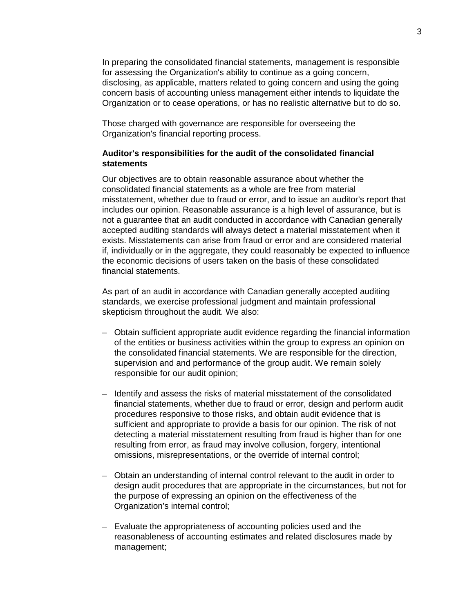In preparing the consolidated financial statements, management is responsible for assessing the Organization's ability to continue as a going concern, disclosing, as applicable, matters related to going concern and using the going concern basis of accounting unless management either intends to liquidate the Organization or to cease operations, or has no realistic alternative but to do so.

Those charged with governance are responsible for overseeing the Organization's financial reporting process.

#### **Auditor's responsibilities for the audit of the consolidated financial statements**

Our objectives are to obtain reasonable assurance about whether the consolidated financial statements as a whole are free from material misstatement, whether due to fraud or error, and to issue an auditor's report that includes our opinion. Reasonable assurance is a high level of assurance, but is not a guarantee that an audit conducted in accordance with Canadian generally accepted auditing standards will always detect a material misstatement when it exists. Misstatements can arise from fraud or error and are considered material if, individually or in the aggregate, they could reasonably be expected to influence the economic decisions of users taken on the basis of these consolidated financial statements.

As part of an audit in accordance with Canadian generally accepted auditing standards, we exercise professional judgment and maintain professional skepticism throughout the audit. We also:

- Obtain sufficient appropriate audit evidence regarding the financial information of the entities or business activities within the group to express an opinion on the consolidated financial statements. We are responsible for the direction, supervision and and performance of the group audit. We remain solely responsible for our audit opinion;
- Identify and assess the risks of material misstatement of the consolidated financial statements, whether due to fraud or error, design and perform audit procedures responsive to those risks, and obtain audit evidence that is sufficient and appropriate to provide a basis for our opinion. The risk of not detecting a material misstatement resulting from fraud is higher than for one resulting from error, as fraud may involve collusion, forgery, intentional omissions, misrepresentations, or the override of internal control;
- Obtain an understanding of internal control relevant to the audit in order to design audit procedures that are appropriate in the circumstances, but not for the purpose of expressing an opinion on the effectiveness of the Organization's internal control;
- Evaluate the appropriateness of accounting policies used and the reasonableness of accounting estimates and related disclosures made by management;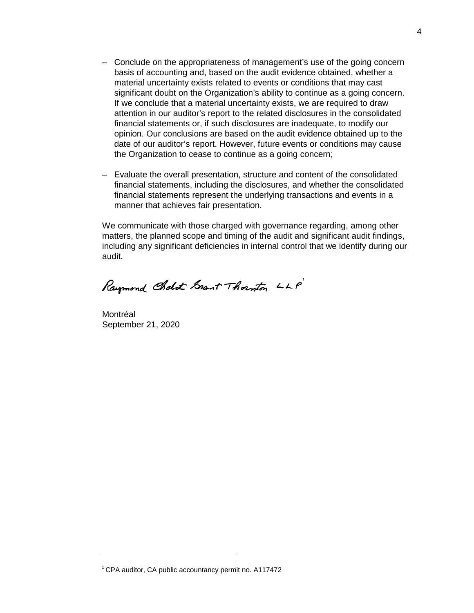- Conclude on the appropriateness of management's use of the going concern basis of accounting and, based on the audit evidence obtained, whether a material uncertainty exists related to events or conditions that may cast significant doubt on the Organization's ability to continue as a going concern. If we conclude that a material uncertainty exists, we are required to draw attention in our auditor's report to the related disclosures in the consolidated financial statements or, if such disclosures are inadequate, to modify our opinion. Our conclusions are based on the audit evidence obtained up to the date of our auditor's report. However, future events or conditions may cause the Organization to cease to continue as a going concern;
- Evaluate the overall presentation, structure and content of the consolidated financial statements, including the disclosures, and whether the consolidated financial statements represent the underlying transactions and events in a manner that achieves fair presentation.

We communicate with those charged with governance regarding, among other matters, the planned scope and timing of the audit and significant audit findings, including any significant deficiencies in internal control that we identify during our audit.

Raymond Cholot Grant Thornton LLP

Montréal September 21, 2020

 $1$  CPA auditor, CA public accountancy permit no. A117472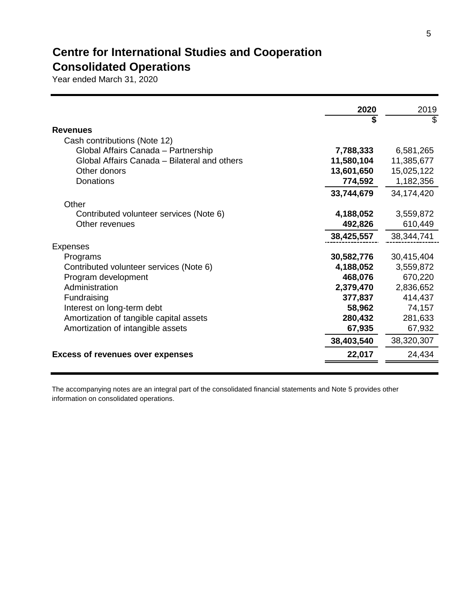# **Centre for International Studies and Cooperation Consolidated Operations**

Year ended March 31, 2020

|                                              | 2020       | 2019       |
|----------------------------------------------|------------|------------|
|                                              | \$         | S          |
| <b>Revenues</b>                              |            |            |
| Cash contributions (Note 12)                 |            |            |
| Global Affairs Canada - Partnership          | 7,788,333  | 6,581,265  |
| Global Affairs Canada - Bilateral and others | 11,580,104 | 11,385,677 |
| Other donors                                 | 13,601,650 | 15,025,122 |
| Donations                                    | 774,592    | 1,182,356  |
|                                              | 33,744,679 | 34,174,420 |
| Other                                        |            |            |
| Contributed volunteer services (Note 6)      | 4,188,052  | 3,559,872  |
| Other revenues                               | 492,826    | 610,449    |
|                                              | 38,425,557 | 38,344,741 |
| <b>Expenses</b>                              |            |            |
| Programs                                     | 30,582,776 | 30,415,404 |
| Contributed volunteer services (Note 6)      | 4,188,052  | 3,559,872  |
|                                              |            |            |
| Program development                          | 468,076    | 670,220    |
| Administration                               | 2,379,470  | 2,836,652  |
| Fundraising                                  | 377,837    | 414,437    |
| Interest on long-term debt                   | 58,962     | 74,157     |
| Amortization of tangible capital assets      | 280,432    | 281,633    |
| Amortization of intangible assets            | 67,935     | 67,932     |
|                                              | 38,403,540 | 38,320,307 |
| <b>Excess of revenues over expenses</b>      | 22,017     | 24,434     |
|                                              |            |            |

The accompanying notes are an integral part of the consolidated financial statements and Note 5 provides other information on consolidated operations.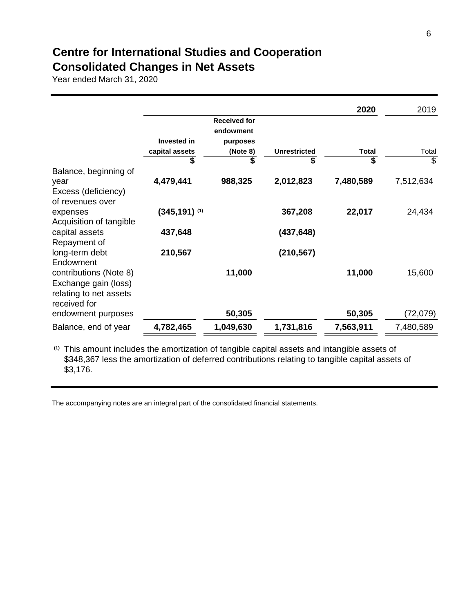## **Centre for International Studies and Cooperation Consolidated Changes in Net Assets**

Year ended March 31, 2020

|                                                                                          |                             |                                  |                     | 2020         | 2019      |
|------------------------------------------------------------------------------------------|-----------------------------|----------------------------------|---------------------|--------------|-----------|
|                                                                                          |                             | <b>Received for</b><br>endowment |                     |              |           |
|                                                                                          | <b>Invested in</b>          | purposes                         |                     |              |           |
|                                                                                          | capital assets              | (Note 8)                         | <b>Unrestricted</b> | <b>Total</b> | Total     |
|                                                                                          | \$                          | \$                               | \$                  | \$           | S         |
| Balance, beginning of<br>year<br>Excess (deficiency)                                     | 4,479,441                   | 988,325                          | 2,012,823           | 7,480,589    | 7,512,634 |
| of revenues over<br>expenses                                                             | $(345, 191)$ <sup>(1)</sup> |                                  | 367,208             | 22,017       | 24,434    |
| Acquisition of tangible<br>capital assets<br>Repayment of                                | 437,648                     |                                  | (437, 648)          |              |           |
| long-term debt<br>Endowment                                                              | 210,567                     |                                  | (210, 567)          |              |           |
| contributions (Note 8)<br>Exchange gain (loss)<br>relating to net assets<br>received for |                             | 11,000                           |                     | 11,000       | 15,600    |
| endowment purposes                                                                       |                             | 50,305                           |                     | 50,305       | (72,079)  |
| Balance, end of year                                                                     | 4,782,465                   | 1,049,630                        | 1,731,816           | 7,563,911    | 7,480,589 |

**(1)** This amount includes the amortization of tangible capital assets and intangible assets of \$348,367 less the amortization of deferred contributions relating to tangible capital assets of \$3,176.

The accompanying notes are an integral part of the consolidated financial statements.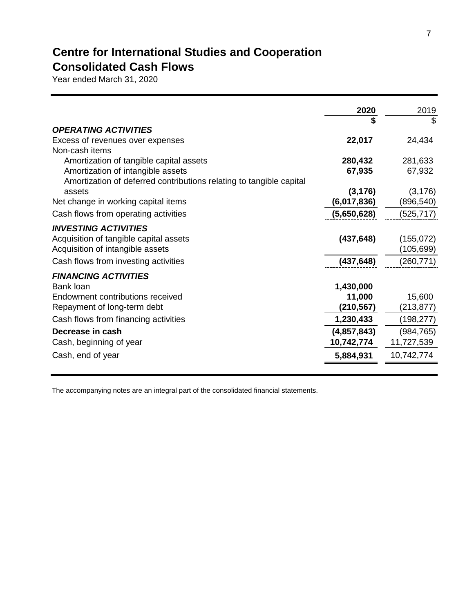# **Centre for International Studies and Cooperation Consolidated Cash Flows**

Year ended March 31, 2020

|                                                                     | 2020<br>\$  | 2019<br>\$ |
|---------------------------------------------------------------------|-------------|------------|
| <b>OPERATING ACTIVITIES</b>                                         |             |            |
| Excess of revenues over expenses                                    | 22,017      | 24,434     |
| Non-cash items                                                      |             |            |
| Amortization of tangible capital assets                             | 280,432     | 281,633    |
| Amortization of intangible assets                                   | 67,935      | 67,932     |
| Amortization of deferred contributions relating to tangible capital |             |            |
| assets                                                              | (3, 176)    | (3, 176)   |
| Net change in working capital items                                 | (6,017,836) | (896,540)  |
| Cash flows from operating activities                                | (5,650,628) | (525, 717) |
| <b>INVESTING ACTIVITIES</b>                                         |             |            |
| Acquisition of tangible capital assets                              | (437, 648)  | (155,072)  |
| Acquisition of intangible assets                                    |             | (105, 699) |
| Cash flows from investing activities                                | (437, 648)  | (260, 771) |
| <b>FINANCING ACTIVITIES</b>                                         |             |            |
| Bank loan                                                           | 1,430,000   |            |
| Endowment contributions received                                    | 11,000      | 15,600     |
| Repayment of long-term debt                                         | (210, 567)  | (213, 877) |
| Cash flows from financing activities                                | 1,230,433   | (198,277)  |
| Decrease in cash                                                    | (4,857,843) | (984, 765) |
| Cash, beginning of year                                             | 10,742,774  | 11,727,539 |
| Cash, end of year                                                   | 5,884,931   | 10,742,774 |

The accompanying notes are an integral part of the consolidated financial statements.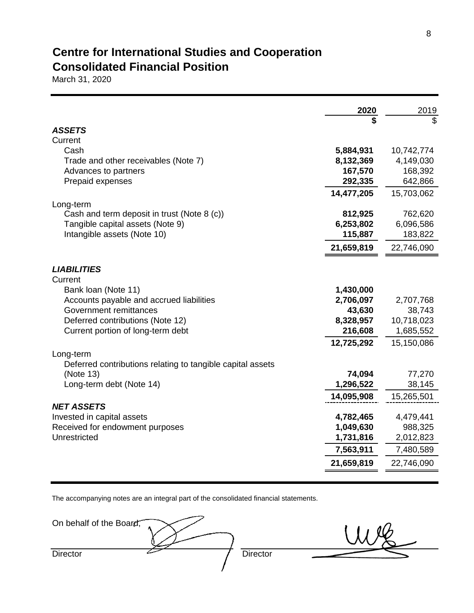## **Centre for International Studies and Cooperation Consolidated Financial Position**

March 31, 2020

|                                                            | 2020                   | 2019                    |
|------------------------------------------------------------|------------------------|-------------------------|
|                                                            | \$                     | \$                      |
| <b>ASSETS</b>                                              |                        |                         |
| Current<br>Cash                                            |                        |                         |
| Trade and other receivables (Note 7)                       | 5,884,931<br>8,132,369 | 10,742,774<br>4,149,030 |
| Advances to partners                                       | 167,570                | 168,392                 |
| Prepaid expenses                                           | 292,335                | 642,866                 |
|                                                            | 14,477,205             | 15,703,062              |
| Long-term                                                  |                        |                         |
| Cash and term deposit in trust (Note 8 (c))                | 812,925                | 762,620                 |
| Tangible capital assets (Note 9)                           | 6,253,802              | 6,096,586               |
| Intangible assets (Note 10)                                | 115,887                | 183,822                 |
|                                                            | 21,659,819             | 22,746,090              |
| <b>LIABILITIES</b><br>Current                              |                        |                         |
| Bank loan (Note 11)                                        | 1,430,000              |                         |
| Accounts payable and accrued liabilities                   | 2,706,097              | 2,707,768               |
| Government remittances                                     | 43,630                 | 38,743                  |
| Deferred contributions (Note 12)                           | 8,328,957              | 10,718,023              |
| Current portion of long-term debt                          | 216,608                | 1,685,552               |
|                                                            | 12,725,292             | 15,150,086              |
| Long-term                                                  |                        |                         |
| Deferred contributions relating to tangible capital assets |                        |                         |
| (Note 13)                                                  | 74,094                 | 77,270                  |
| Long-term debt (Note 14)                                   | 1,296,522              | 38,145                  |
|                                                            | 14,095,908             | 15,265,501              |
| <b>NET ASSETS</b>                                          |                        |                         |
| Invested in capital assets                                 | 4,782,465              | 4,479,441               |
| Received for endowment purposes<br>Unrestricted            | 1,049,630              | 988,325                 |
|                                                            | 1,731,816              | 2,012,823               |
|                                                            | 7,563,911              | 7,480,589               |
|                                                            | 21,659,819             | 22,746,090              |

The accompanying notes are an integral part of the consolidated financial statements.

| On behalf of the Board, |          |
|-------------------------|----------|
| <b>Director</b>         | Director |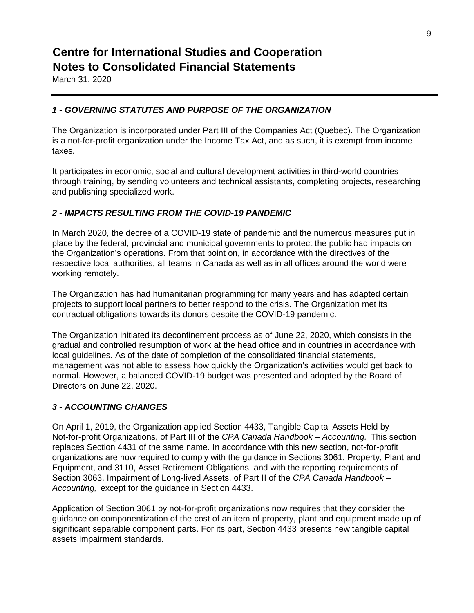March 31, 2020

## *1 - GOVERNING STATUTES AND PURPOSE OF THE ORGANIZATION*

The Organization is incorporated under Part III of the Companies Act (Quebec). The Organization is a not-for-profit organization under the Income Tax Act, and as such, it is exempt from income taxes.

It participates in economic, social and cultural development activities in third-world countries through training, by sending volunteers and technical assistants, completing projects, researching and publishing specialized work.

## *2 - IMPACTS RESULTING FROM THE COVID-19 PANDEMIC*

In March 2020, the decree of a COVID-19 state of pandemic and the numerous measures put in place by the federal, provincial and municipal governments to protect the public had impacts on the Organization's operations. From that point on, in accordance with the directives of the respective local authorities, all teams in Canada as well as in all offices around the world were working remotely.

The Organization has had humanitarian programming for many years and has adapted certain projects to support local partners to better respond to the crisis. The Organization met its contractual obligations towards its donors despite the COVID-19 pandemic.

The Organization initiated its deconfinement process as of June 22, 2020, which consists in the gradual and controlled resumption of work at the head office and in countries in accordance with local guidelines. As of the date of completion of the consolidated financial statements, management was not able to assess how quickly the Organization's activities would get back to normal. However, a balanced COVID-19 budget was presented and adopted by the Board of Directors on June 22, 2020.

## *3 - ACCOUNTING CHANGES*

On April 1, 2019, the Organization applied Section 4433, Tangible Capital Assets Held by Not-for-profit Organizations, of Part III of the *CPA Canada Handbook – Accounting.* This section replaces Section 4431 of the same name. In accordance with this new section, not-for-profit organizations are now required to comply with the guidance in Sections 3061, Property, Plant and Equipment, and 3110, Asset Retirement Obligations, and with the reporting requirements of Section 3063, Impairment of Long-lived Assets, of Part II of the *CPA Canada Handbook – Accounting,* except for the guidance in Section 4433.

Application of Section 3061 by not-for-profit organizations now requires that they consider the guidance on componentization of the cost of an item of property, plant and equipment made up of significant separable component parts. For its part, Section 4433 presents new tangible capital assets impairment standards.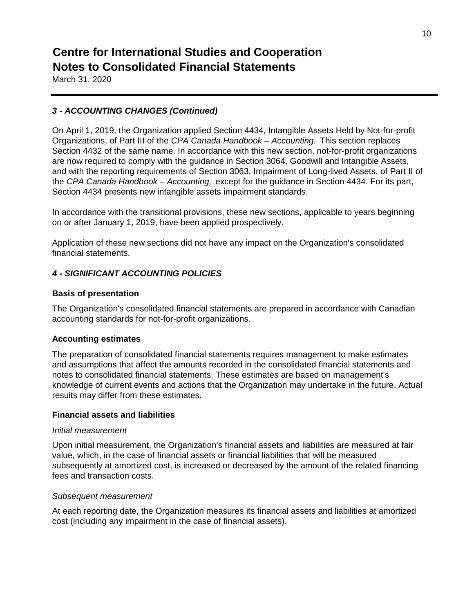March 31, 2020

## *3 - ACCOUNTING CHANGES (Continued)*

On April 1, 2019, the Organization applied Section 4434, Intangible Assets Held by Not-for-profit Organizations, of Part III of the *CPA Canada Handbook – Accounting.* This section replaces Section 4432 of the same name. In accordance with this new section, not-for-profit organizations are now required to comply with the guidance in Section 3064, Goodwill and Intangible Assets, and with the reporting requirements of Section 3063, Impairment of Long-lived Assets, of Part II of the *CPA Canada Handbook – Accounting,* except for the guidance in Section 4434. For its part, Section 4434 presents new intangible assets impairment standards.

In accordance with the transitional provisions, these new sections, applicable to years beginning on or after January 1, 2019, have been applied prospectively.

Application of these new sections did not have any impact on the Organization's consolidated financial statements.

### *4 - SIGNIFICANT ACCOUNTING POLICIES*

#### **Basis of presentation**

The Organization's consolidated financial statements are prepared in accordance with Canadian accounting standards for not-for-profit organizations.

#### **Accounting estimates**

The preparation of consolidated financial statements requires management to make estimates and assumptions that affect the amounts recorded in the consolidated financial statements and notes to consolidated financial statements. These estimates are based on management's knowledge of current events and actions that the Organization may undertake in the future. Actual results may differ from these estimates.

#### **Financial assets and liabilities**

#### *Initial measurement*

Upon initial measurement, the Organization's financial assets and liabilities are measured at fair value, which, in the case of financial assets or financial liabilities that will be measured subsequently at amortized cost, is increased or decreased by the amount of the related financing fees and transaction costs.

#### *Subsequent measurement*

At each reporting date, the Organization measures its financial assets and liabilities at amortized cost (including any impairment in the case of financial assets).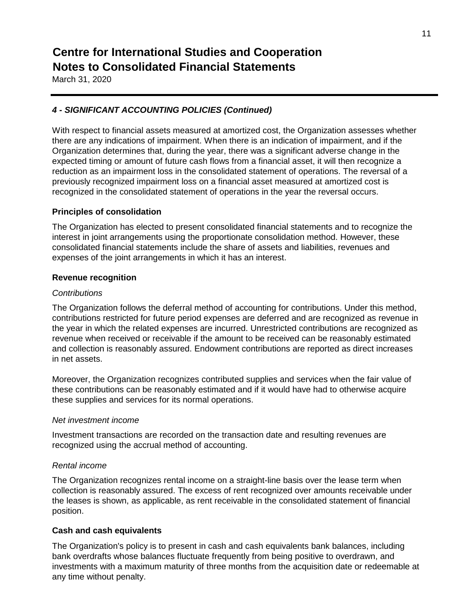March 31, 2020

## *4 - SIGNIFICANT ACCOUNTING POLICIES (Continued)*

With respect to financial assets measured at amortized cost, the Organization assesses whether there are any indications of impairment. When there is an indication of impairment, and if the Organization determines that, during the year, there was a significant adverse change in the expected timing or amount of future cash flows from a financial asset, it will then recognize a reduction as an impairment loss in the consolidated statement of operations. The reversal of a previously recognized impairment loss on a financial asset measured at amortized cost is recognized in the consolidated statement of operations in the year the reversal occurs.

#### **Principles of consolidation**

The Organization has elected to present consolidated financial statements and to recognize the interest in joint arrangements using the proportionate consolidation method. However, these consolidated financial statements include the share of assets and liabilities, revenues and expenses of the joint arrangements in which it has an interest.

#### **Revenue recognition**

#### *Contributions*

The Organization follows the deferral method of accounting for contributions. Under this method, contributions restricted for future period expenses are deferred and are recognized as revenue in the year in which the related expenses are incurred. Unrestricted contributions are recognized as revenue when received or receivable if the amount to be received can be reasonably estimated and collection is reasonably assured. Endowment contributions are reported as direct increases in net assets.

Moreover, the Organization recognizes contributed supplies and services when the fair value of these contributions can be reasonably estimated and if it would have had to otherwise acquire these supplies and services for its normal operations.

#### *Net investment income*

Investment transactions are recorded on the transaction date and resulting revenues are recognized using the accrual method of accounting.

### *Rental income*

The Organization recognizes rental income on a straight-line basis over the lease term when collection is reasonably assured. The excess of rent recognized over amounts receivable under the leases is shown, as applicable, as rent receivable in the consolidated statement of financial position.

### **Cash and cash equivalents**

The Organization's policy is to present in cash and cash equivalents bank balances, including bank overdrafts whose balances fluctuate frequently from being positive to overdrawn, and investments with a maximum maturity of three months from the acquisition date or redeemable at any time without penalty.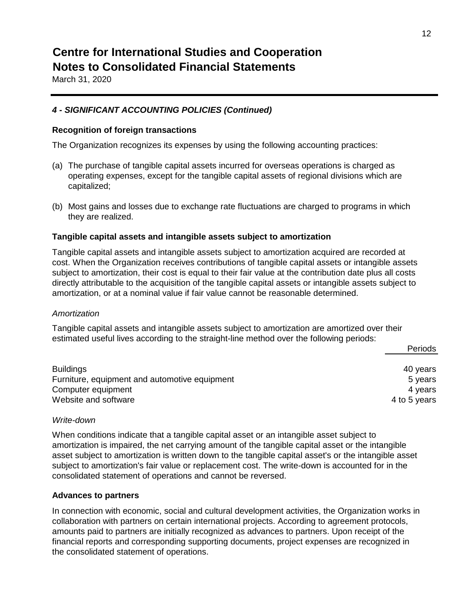March 31, 2020

## *4 - SIGNIFICANT ACCOUNTING POLICIES (Continued)*

#### **Recognition of foreign transactions**

The Organization recognizes its expenses by using the following accounting practices:

- (a) The purchase of tangible capital assets incurred for overseas operations is charged as operating expenses, except for the tangible capital assets of regional divisions which are capitalized;
- (b) Most gains and losses due to exchange rate fluctuations are charged to programs in which they are realized.

#### **Tangible capital assets and intangible assets subject to amortization**

Tangible capital assets and intangible assets subject to amortization acquired are recorded at cost. When the Organization receives contributions of tangible capital assets or intangible assets subject to amortization, their cost is equal to their fair value at the contribution date plus all costs directly attributable to the acquisition of the tangible capital assets or intangible assets subject to amortization, or at a nominal value if fair value cannot be reasonable determined.

#### *Amortization*

Tangible capital assets and intangible assets subject to amortization are amortized over their estimated useful lives according to the straight-line method over the following periods:

|                                               | <b>Pellous</b> |
|-----------------------------------------------|----------------|
|                                               |                |
| <b>Buildings</b>                              | 40 years       |
| Furniture, equipment and automotive equipment | 5 years        |
| Computer equipment                            | 4 years        |
| Website and software                          | 4 to 5 years   |

#### *Write-down*

When conditions indicate that a tangible capital asset or an intangible asset subject to amortization is impaired, the net carrying amount of the tangible capital asset or the intangible asset subject to amortization is written down to the tangible capital asset's or the intangible asset subject to amortization's fair value or replacement cost. The write-down is accounted for in the consolidated statement of operations and cannot be reversed.

#### **Advances to partners**

In connection with economic, social and cultural development activities, the Organization works in collaboration with partners on certain international projects. According to agreement protocols, amounts paid to partners are initially recognized as advances to partners. Upon receipt of the financial reports and corresponding supporting documents, project expenses are recognized in the consolidated statement of operations.

Periods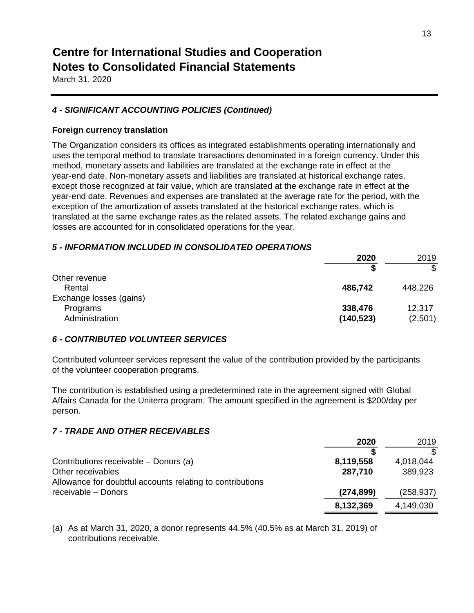March 31, 2020

## *4 - SIGNIFICANT ACCOUNTING POLICIES (Continued)*

### **Foreign currency translation**

The Organization considers its offices as integrated establishments operating internationally and uses the temporal method to translate transactions denominated in a foreign currency. Under this method, monetary assets and liabilities are translated at the exchange rate in effect at the year-end date. Non-monetary assets and liabilities are translated at historical exchange rates, except those recognized at fair value, which are translated at the exchange rate in effect at the year-end date. Revenues and expenses are translated at the average rate for the period, with the exception of the amortization of assets translated at the historical exchange rates, which is translated at the same exchange rates as the related assets. The related exchange gains and losses are accounted for in consolidated operations for the year.

## *5 - INFORMATION INCLUDED IN CONSOLIDATED OPERATIONS*

| 2020       | 2019    |
|------------|---------|
| S          | \$      |
|            |         |
| 486,742    | 448,226 |
|            |         |
| 338,476    | 12,317  |
| (140, 523) | (2,501) |
|            |         |

### *6 - CONTRIBUTED VOLUNTEER SERVICES*

Contributed volunteer services represent the value of the contribution provided by the participants of the volunteer cooperation programs.

The contribution is established using a predetermined rate in the agreement signed with Global Affairs Canada for the Uniterra program. The amount specified in the agreement is \$200/day per person.

## *7 - TRADE AND OTHER RECEIVABLES*

|                                                           | 2020       | 2019      |
|-----------------------------------------------------------|------------|-----------|
|                                                           |            |           |
| Contributions receivable – Donors (a)                     | 8,119,558  | 4,018,044 |
| Other receivables                                         | 287,710    | 389,923   |
| Allowance for doubtful accounts relating to contributions |            |           |
| receivable - Donors                                       | (274, 899) | (258,937) |
|                                                           | 8,132,369  | 4,149,030 |

(a) As at March 31, 2020, a donor represents 44.5% (40.5% as at March 31, 2019) of contributions receivable.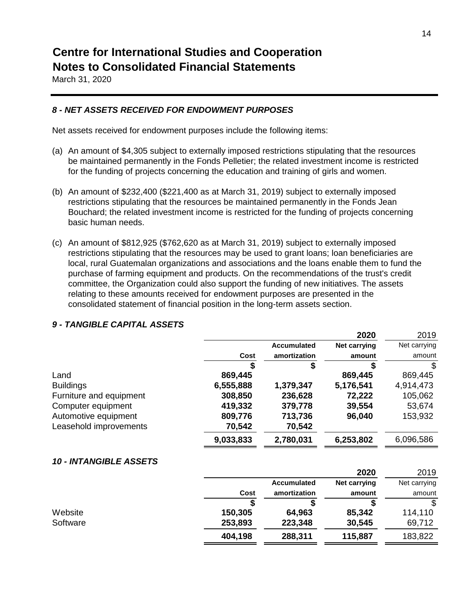March 31, 2020

## *8 - NET ASSETS RECEIVED FOR ENDOWMENT PURPOSES*

Net assets received for endowment purposes include the following items:

- (a) An amount of \$4,305 subject to externally imposed restrictions stipulating that the resources be maintained permanently in the Fonds Pelletier; the related investment income is restricted for the funding of projects concerning the education and training of girls and women.
- (b) An amount of \$232,400 (\$221,400 as at March 31, 2019) subject to externally imposed restrictions stipulating that the resources be maintained permanently in the Fonds Jean Bouchard; the related investment income is restricted for the funding of projects concerning basic human needs.
- (c) An amount of \$812,925 (\$762,620 as at March 31, 2019) subject to externally imposed restrictions stipulating that the resources may be used to grant loans; loan beneficiaries are local, rural Guatemalan organizations and associations and the loans enable them to fund the purchase of farming equipment and products. On the recommendations of the trust's credit committee, the Organization could also support the funding of new initiatives. The assets relating to these amounts received for endowment purposes are presented in the consolidated statement of financial position in the long-term assets section.

|                               |           |                    | 2020                | 2019         |
|-------------------------------|-----------|--------------------|---------------------|--------------|
|                               |           | <b>Accumulated</b> | <b>Net carrying</b> | Net carrying |
|                               | Cost      | amortization       | amount              | amount       |
|                               |           |                    |                     | \$           |
| Land                          | 869,445   |                    | 869,445             | 869,445      |
| <b>Buildings</b>              | 6,555,888 | 1,379,347          | 5,176,541           | 4,914,473    |
| Furniture and equipment       | 308,850   | 236,628            | 72,222              | 105,062      |
| Computer equipment            | 419,332   | 379,778            | 39,554              | 53,674       |
| Automotive equipment          | 809,776   | 713,736            | 96,040              | 153,932      |
| Leasehold improvements        | 70,542    | 70,542             |                     |              |
|                               | 9,033,833 | 2,780,031          | 6,253,802           | 6,096,586    |
| <b>10 - INTANGIBLE ASSETS</b> |           |                    |                     |              |
|                               |           |                    | 2020                | 2019         |
|                               |           | <b>Accumulated</b> | <b>Net carrying</b> | Net carrying |
|                               | Cost      | amortization       | amount              | amount       |
|                               |           |                    |                     | \$.          |
| Website                       | 150,305   | 64,963             | 85,342              | 114,110      |
| Software                      | 253,893   | 223,348            | 30,545              | 69,712       |
|                               | 404,198   | 288,311            | 115,887             | 183,822      |
|                               |           |                    |                     |              |

## *9 - TANGIBLE CAPITAL ASSETS*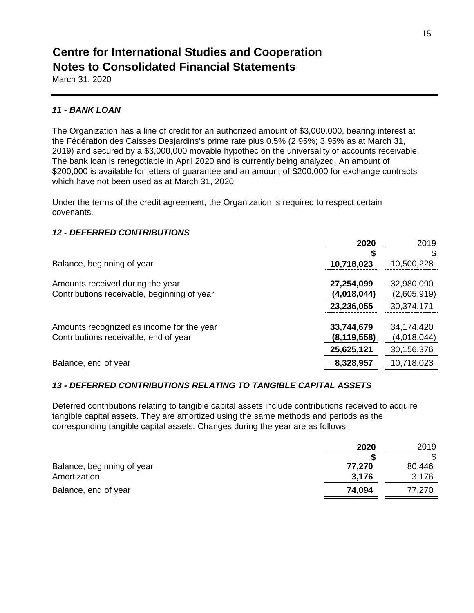March 31, 2020

### *11 - BANK LOAN*

The Organization has a line of credit for an authorized amount of \$3,000,000, bearing interest at the Fédération des Caisses Desjardins's prime rate plus 0.5% (2.95%; 3.95% as at March 31, 2019) and secured by a \$3,000,000 movable hypothec on the universality of accounts receivable. The bank loan is renegotiable in April 2020 and is currently being analyzed. An amount of \$200,000 is available for letters of guarantee and an amount of \$200,000 for exchange contracts which have not been used as at March 31, 2020.

Under the terms of the credit agreement, the Organization is required to respect certain covenants.

### *12 - DEFERRED CONTRIBUTIONS*

| 2020                        | 2019                      |
|-----------------------------|---------------------------|
|                             |                           |
| 10,718,023                  | 10,500,228                |
| 27,254,099<br>(4,018,044)   | 32,980,090<br>(2,605,919) |
| 23,236,055                  | 30,374,171                |
| 33,744,679<br>(8, 119, 558) | 34,174,420<br>(4,018,044) |
| 25,625,121                  | 30,156,376                |
| 8,328,957                   | 10,718,023                |
|                             |                           |

### *13 - DEFERRED CONTRIBUTIONS RELATING TO TANGIBLE CAPITAL ASSETS*

Deferred contributions relating to tangible capital assets include contributions received to acquire tangible capital assets. They are amortized using the same methods and periods as the corresponding tangible capital assets. Changes during the year are as follows:

|                            | 2020   | 2019   |
|----------------------------|--------|--------|
|                            |        |        |
| Balance, beginning of year | 77,270 | 80,446 |
| Amortization               | 3,176  | 3,176  |
| Balance, end of year       | 74,094 | 77,270 |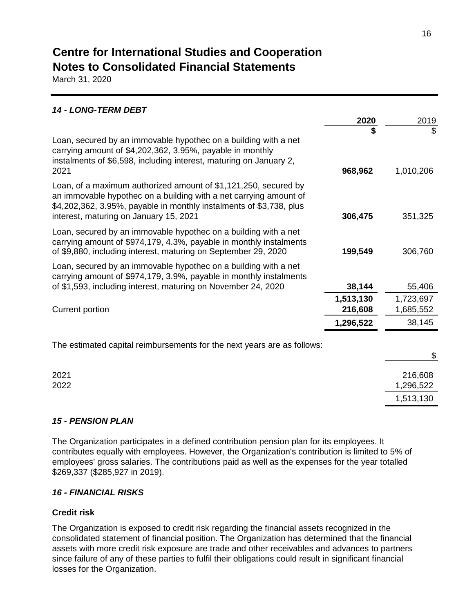March 31, 2020

| <b>14 - LONG-TERM DEBT</b>                                                                                                                                                                                                                            |                      |                        |
|-------------------------------------------------------------------------------------------------------------------------------------------------------------------------------------------------------------------------------------------------------|----------------------|------------------------|
|                                                                                                                                                                                                                                                       | 2020                 | 2019                   |
| Loan, secured by an immovable hypothec on a building with a net<br>carrying amount of \$4,202,362, 3.95%, payable in monthly<br>instalments of \$6,598, including interest, maturing on January 2,<br>2021                                            | \$<br>968,962        | \$<br>1,010,206        |
| Loan, of a maximum authorized amount of \$1,121,250, secured by<br>an immovable hypothec on a building with a net carrying amount of<br>\$4,202,362, 3.95%, payable in monthly instalments of \$3,738, plus<br>interest, maturing on January 15, 2021 | 306,475              | 351,325                |
| Loan, secured by an immovable hypothec on a building with a net<br>carrying amount of \$974,179, 4.3%, payable in monthly instalments<br>of \$9,880, including interest, maturing on September 29, 2020                                               | 199,549              | 306,760                |
| Loan, secured by an immovable hypothec on a building with a net<br>carrying amount of \$974,179, 3.9%, payable in monthly instalments<br>of \$1,593, including interest, maturing on November 24, 2020                                                | 38,144               | 55,406                 |
| Current portion                                                                                                                                                                                                                                       | 1,513,130<br>216,608 | 1,723,697<br>1,685,552 |
|                                                                                                                                                                                                                                                       | 1,296,522            | 38,145                 |
| The estimated capital reimbursements for the next years are as follows:                                                                                                                                                                               |                      | \$                     |
| 2021<br>2022                                                                                                                                                                                                                                          |                      | 216,608<br>1,296,522   |
|                                                                                                                                                                                                                                                       |                      | 1,513,130              |

### *15 - PENSION PLAN*

The Organization participates in a defined contribution pension plan for its employees. It contributes equally with employees. However, the Organization's contribution is limited to 5% of employees' gross salaries. The contributions paid as well as the expenses for the year totalled \$269,337 (\$285,927 in 2019).

### *16 - FINANCIAL RISKS*

## **Credit risk**

The Organization is exposed to credit risk regarding the financial assets recognized in the consolidated statement of financial position. The Organization has determined that the financial assets with more credit risk exposure are trade and other receivables and advances to partners since failure of any of these parties to fulfil their obligations could result in significant financial losses for the Organization.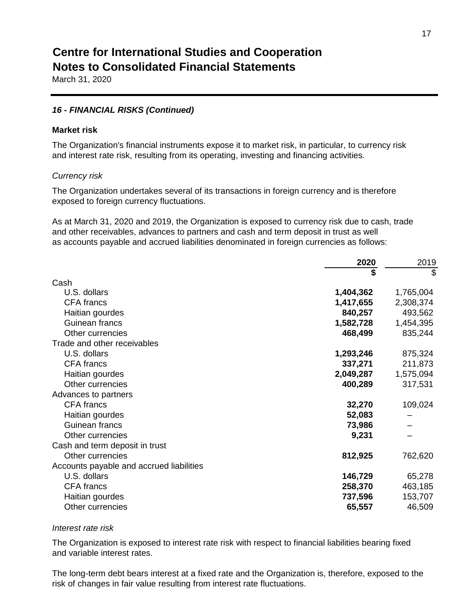March 31, 2020

#### *16 - FINANCIAL RISKS (Continued)*

#### **Market risk**

The Organization's financial instruments expose it to market risk, in particular, to currency risk and interest rate risk, resulting from its operating, investing and financing activities.

#### *Currency risk*

The Organization undertakes several of its transactions in foreign currency and is therefore exposed to foreign currency fluctuations.

As at March 31, 2020 and 2019, the Organization is exposed to currency risk due to cash, trade and other receivables, advances to partners and cash and term deposit in trust as well as accounts payable and accrued liabilities denominated in foreign currencies as follows:

| \$                                       | \$        |
|------------------------------------------|-----------|
| Cash                                     |           |
| U.S. dollars<br>1,404,362                | 1,765,004 |
| <b>CFA</b> francs<br>1,417,655           | 2,308,374 |
| 840,257<br>Haitian gourdes               | 493,562   |
| Guinean francs<br>1,582,728              | 1,454,395 |
| Other currencies<br>468,499              | 835,244   |
| Trade and other receivables              |           |
| U.S. dollars<br>1,293,246                | 875,324   |
| <b>CFA</b> francs<br>337,271             | 211,873   |
| 2,049,287<br>Haitian gourdes             | 1,575,094 |
| 400,289<br>Other currencies              | 317,531   |
| Advances to partners                     |           |
| <b>CFA</b> francs<br>32,270              | 109,024   |
| 52,083<br>Haitian gourdes                |           |
| Guinean francs<br>73,986                 |           |
| Other currencies<br>9,231                |           |
| Cash and term deposit in trust           |           |
| Other currencies<br>812,925              | 762,620   |
| Accounts payable and accrued liabilities |           |
| U.S. dollars<br>146,729                  | 65,278    |
| <b>CFA</b> francs<br>258,370             | 463,185   |
| 737,596<br>Haitian gourdes               | 153,707   |
| Other currencies<br>65,557               | 46,509    |

#### *Interest rate risk*

The Organization is exposed to interest rate risk with respect to financial liabilities bearing fixed and variable interest rates.

The long-term debt bears interest at a fixed rate and the Organization is, therefore, exposed to the risk of changes in fair value resulting from interest rate fluctuations.